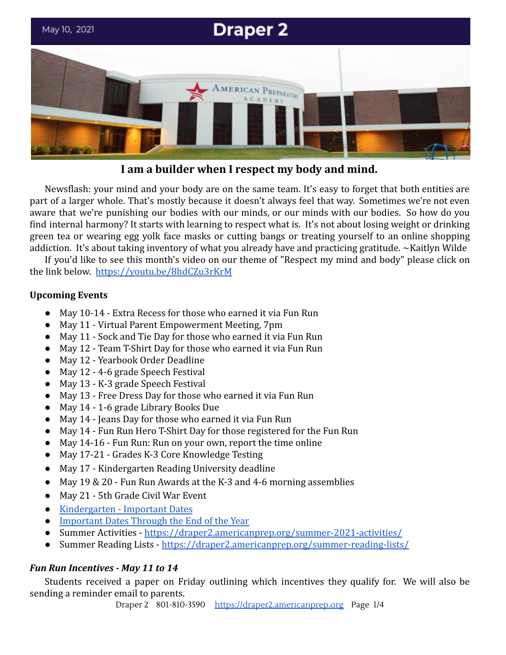

**I am a builder when I respect my body and mind.**

Newsflash: your mind and your body are on the same team. It's easy to forget that both entities are part of a larger whole. That's mostly because it doesn't always feel that way. Sometimes we're not even aware that we're punishing our bodies with our minds, or our minds with our bodies. So how do you find internal harmony? It starts with learning to respect what is. It's not about losing weight or drinking green tea or wearing egg yolk face masks or cutting bangs or treating yourself to an online shopping addiction. It's about taking inventory of what you already have and practicing gratitude. ~Kaitlyn Wilde

If you'd like to see this month's video on our theme of "Respect my mind and body" please click on the link below. <https://youtu.be/8hdCZu3rKrM>

# **Upcoming Events**

- May 10-14 Extra Recess for those who earned it via Fun Run
- May 11 Virtual Parent Empowerment Meeting, 7pm
- May 11 Sock and Tie Day for those who earned it via Fun Run
- May 12 Team T-Shirt Day for those who earned it via Fun Run
- May 12 Yearbook Order Deadline
- May 12 4-6 grade Speech Festival
- May 13 K-3 grade Speech Festival
- May 13 Free Dress Day for those who earned it via Fun Run
- May 14 1-6 grade Library Books Due
- May 14 Jeans Day for those who earned it via Fun Run
- May 14 Fun Run Hero T-Shirt Day for those registered for the Fun Run
- May 14-16 Fun Run: Run on your own, report the time online
- May 17-21 Grades K-3 Core Knowledge Testing
- May 17 Kindergarten Reading University deadline
- May 19 & 20 Fun Run Awards at the K-3 and 4-6 morning assemblies
- May 21 5th Grade Civil War Event
- [Kindergarten Important Dates](https://draper2.americanprep.org/kindergarten-end-of-year-important-dates-2021/)
- [Important Dates Through the End of the Year](https://docs.google.com/document/d/1J6M2qs3CgzwJghjMGlxaXbHNL2sZzsmAcC7pbZcyhG4/edit?usp=sharing)
- Summer Activities <https://draper2.americanprep.org/summer-2021-activities/>
- Summer Reading Lists <https://draper2.americanprep.org/summer-reading-lists/>

# *Fun Run Incentives - May 11 to 14*

Students received a paper on Friday outlining which incentives they qualify for. We will also be sending a reminder email to parents.

Draper 2 801-810-3590 [https://draper2.americanprep.org](https://draper2.americanprep.org/) Page 1/4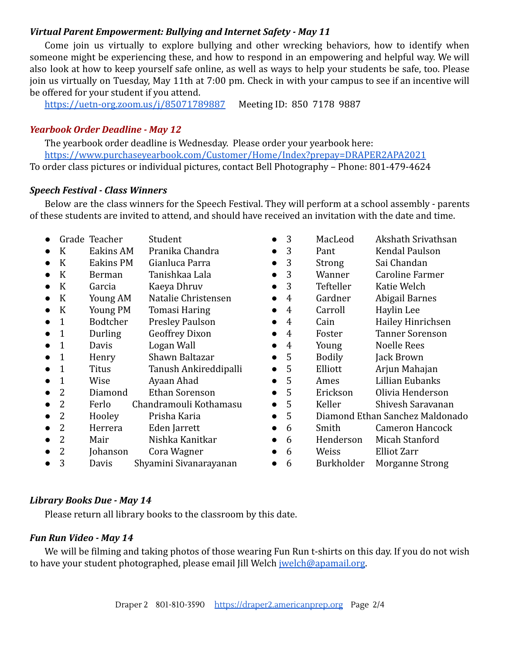### *Virtual Parent Empowerment: Bullying and Internet Safety - May 11*

Come join us virtually to explore bullying and other wrecking behaviors, how to identify when someone might be experiencing these, and how to respond in an empowering and helpful way. We will also look at how to keep yourself safe online, as well as ways to help your students be safe, too. Please join us virtually on Tuesday, May 11th at 7:00 pm. Check in with your campus to see if an incentive will be offered for your student if you attend.

<https://uetn-org.zoom.us/j/85071789887> Meeting ID: 850 7178 9887

## *Yearbook Order Deadline - May 12*

The yearbook order deadline is Wednesday. Please order your yearbook here: <https://www.purchaseyearbook.com/Customer/Home/Index?prepay=DRAPER2APA2021> To order class pictures or individual pictures, contact Bell Photography – Phone: 801-479-4624

### *Speech Festival - Class Winners*

Below are the class winners for the Speech Festival. They will perform at a school assembly - parents of these students are invited to attend, and should have received an invitation with the date and time.

● Grade Teacher Student ● K Eakins AM Pranika Chandra ● K Eakins PM Gianluca Parra ● K Berman Tanishkaa Lala ● K Garcia Kaeya Dhruv ● K Young AM Natalie Christensen ● K Young PM Tomasi Haring ● 1 Bodtcher Presley Paulson • 1 Durling Geoffrey Dixon • 1 Davis Logan Wall ● 1 Henry Shawn Baltazar ● 1 Titus Tanush Ankireddipalli ● 1 Wise Ayaan Ahad ● 2 Diamond Ethan Sorenson ● 2 Ferlo Chandramouli Kothamasu ● 2 Hooley Prisha Karia ● 2 Herrera Eden Jarrett ● 2 Mair Nishka Kanitkar ● 2 Johanson Cora Wagner ● 3 Davis Shyamini Sivanarayanan ● 3 MacLeod Akshath Srivathsan ● 3 Pant Kendal Paulson • 3 Strong Sai Chandan ● 3 Wanner Caroline Farmer ● 3 Tefteller Katie Welch ● 4 Gardner Abigail Barnes ● 4 Carroll Haylin Lee • 4 Cain Hailey Hinrichsen ● 4 Foster Tanner Sorenson ● 4 Young Noelle Rees ● 5 Bodily Jack Brown ● 5 Elliott Arjun Mahajan ● 5 Ames Lillian Eubanks ● 5 Erickson Olivia Henderson ● 5 Keller Shivesh Saravanan ● 5 Diamond Ethan Sanchez Maldonado ● 6 Smith Cameron Hancock ● 6 Henderson Micah Stanford ● 6 Weiss Elliot Zarr ● 6 Burkholder Morganne Strong

## *Library Books Due - May 14*

Please return all library books to the classroom by this date.

### *Fun Run Video - May 14*

We will be filming and taking photos of those wearing Fun Run t-shirts on this day. If you do not wish to have your student photographed, please email Jill Welch [jwelch@apamail.org](mailto:jwelch@apamail.org).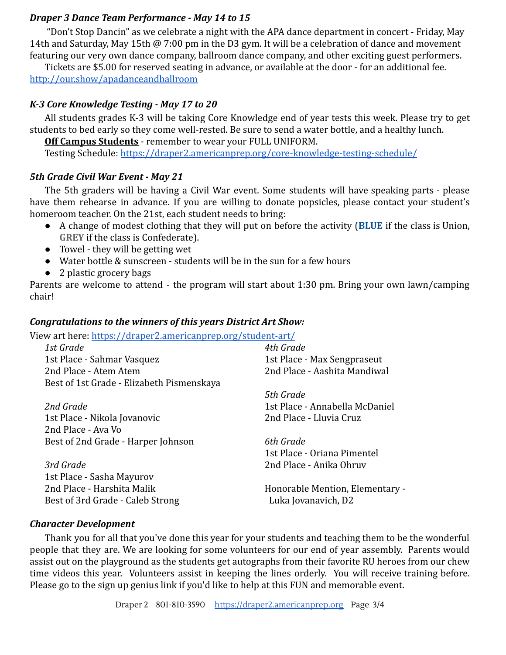### *Draper 3 Dance Team Performance - May 14 to 15*

"Don't Stop Dancin" as we celebrate a night with the APA dance department in concert - Friday, May 14th and Saturday, May 15th @ 7:00 pm in the D3 gym. It will be a celebration of dance and movement featuring our very own dance company, ballroom dance company, and other exciting guest performers.

Tickets are \$5.00 for reserved seating in advance, or available at the door - for an additional fee. <http://our.show/apadanceandballroom>

#### *K-3 Core Knowledge Testing - May 17 to 20*

All students grades K-3 will be taking Core Knowledge end of year tests this week. Please try to get students to bed early so they come well-rested. Be sure to send a water bottle, and a healthy lunch.

**Off Campus Students** - remember to wear your FULL UNIFORM.

Testing Schedule: <https://draper2.americanprep.org/core-knowledge-testing-schedule/>

#### *5th Grade Civil War Event - May 21*

The 5th graders will be having a Civil War event. Some students will have speaking parts - please have them rehearse in advance. If you are willing to donate popsicles, please contact your student's homeroom teacher. On the 21st, each student needs to bring:

- A change of modest clothing that they will put on before the activity (**BLUE** if the class is Union, **GREY** if the class is Confederate).
- Towel they will be getting wet
- Water bottle & sunscreen students will be in the sun for a few hours
- 2 plastic grocery bags

Parents are welcome to attend - the program will start about 1:30 pm. Bring your own lawn/camping chair!

#### *Congratulations to the winners of this years District Art Show:*

View art here: <https://draper2.americanprep.org/student-art/>

| 1st Grade                                 | 4th Grade                       |
|-------------------------------------------|---------------------------------|
| 1st Place - Sahmar Vasquez                | 1st Place - Max Sengpraseut     |
| 2nd Place - Atem Atem                     | 2nd Place - Aashita Mandiwal    |
| Best of 1st Grade - Elizabeth Pismenskaya |                                 |
|                                           | 5th Grade                       |
| 2nd Grade                                 | 1st Place - Annabella McDaniel  |
| 1st Place - Nikola Jovanovic              | 2nd Place - Lluvia Cruz         |
| 2nd Place - Ava Vo                        |                                 |
| Best of 2nd Grade - Harper Johnson        | 6th Grade                       |
|                                           | 1st Place - Oriana Pimentel     |
| 3rd Grade                                 | 2nd Place - Anika Ohruv         |
| 1st Place - Sasha Mayurov                 |                                 |
| 2nd Place - Harshita Malik                | Honorable Mention, Elementary - |
| Best of 3rd Grade - Caleb Strong          | Luka Jovanavich, D2             |

#### *Character Development*

Thank you for all that you've done this year for your students and teaching them to be the wonderful people that they are. We are looking for some volunteers for our end of year assembly. Parents would assist out on the playground as the students get autographs from their favorite RU heroes from our chew time videos this year. Volunteers assist in keeping the lines orderly. You will receive training before. Please go to the sign up genius link if you'd like to help at this FUN and memorable event.